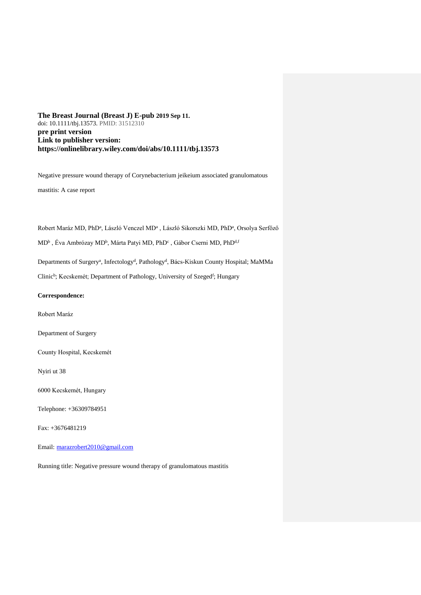# **The Breast Journal (Breast J) E-pub 2019 Sep 11.** doi: 10.1111/tbj.13573. PMID: 31512310 **pre print version Link to publisher version: https://onlinelibrary.wiley.com/doi/abs/10.1111/tbj.13573**

Negative pressure wound therapy of Corynebacterium jeikeium associated granulomatous

mastitis: A case report

Robert Maráz MD, PhD<sup>a</sup>, László Venczel MD<sup>a</sup>, László Sikorszki MD, PhD<sup>a</sup>, Orsolya Serfőző

MD<sup>b</sup> , Éva Ambrózay MD<sup>b</sup>, Márta Patyi MD, PhD<sup>c</sup> , Gábor Cserni MD, PhD<sup>d, f</sup>

Departments of Surgery<sup>a</sup>, Infectology<sup>d</sup>, Pathology<sup>d</sup>, Bács-Kiskun County Hospital; MaMMa

Clinic<sup>b</sup>; Kecskemét; Department of Pathology, University of Szeged<sup>f</sup>; Hungary

#### **Correspondence:**

Robert Maráz

Department of Surgery

County Hospital, Kecskemét

Nyiri ut 38

6000 Kecskemét, Hungary

Telephone: +36309784951

Fax: +3676481219

Email: [marazrobert2010@gmail.com](mailto:marazrobert2010@gmail.com)

Running title: Negative pressure wound therapy of granulomatous mastitis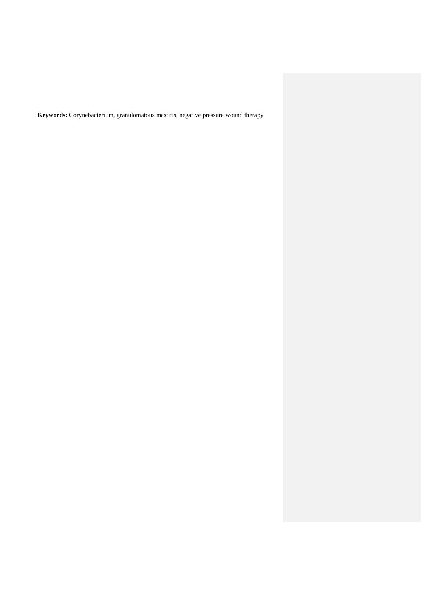**Keywords:** Corynebacterium, granulomatous mastitis, negative pressure wound therapy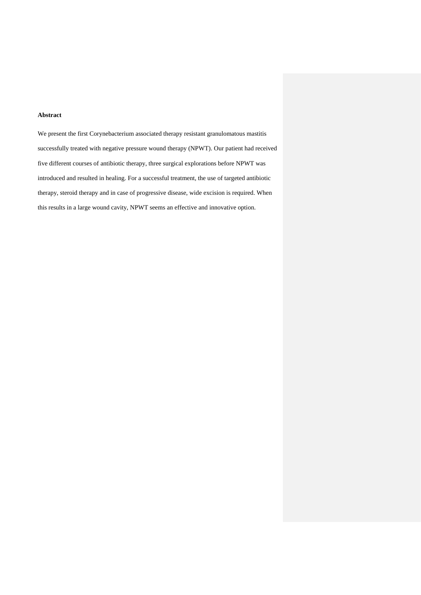## **Abstract**

We present the first Corynebacterium associated therapy resistant granulomatous mastitis successfully treated with negative pressure wound therapy (NPWT). Our patient had received five different courses of antibiotic therapy, three surgical explorations before NPWT was introduced and resulted in healing. For a successful treatment, the use of targeted antibiotic therapy, steroid therapy and in case of progressive disease, wide excision is required. When this results in a large wound cavity, NPWT seems an effective and innovative option.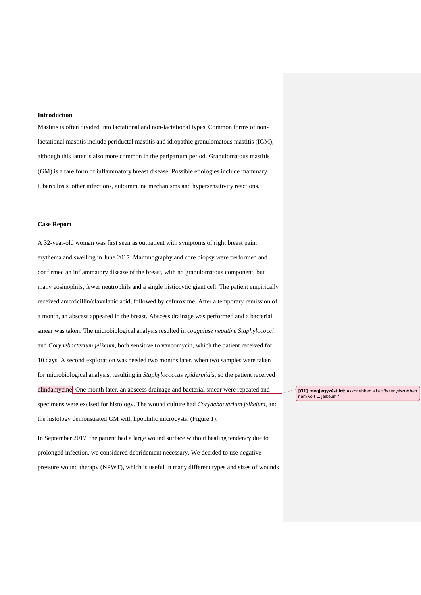#### **Introduction**

Mastitis is often divided into lactational and non-lactational types. Common forms of nonlactational mastitis include periductal mastitis and idiopathic granulomatous mastitis (IGM), although this latter is also more common in the peripartum period. Granulomatous mastitis (GM) is a rare form of inflammatory breast disease. Possible etiologies include mammary tuberculosis, other infections, autoimmune mechanisms and hypersensitivity reactions.

#### **Case Report**

A 32-year-old woman was first seen as outpatient with symptoms of right breast pain, erythema and swelling in June 2017. Mammography and core biopsy were performed and confirmed an inflammatory disease of the breast, with no granulomatous component, but many eosinophils, fewer neutrophils and a single histiocytic giant cell. The patient empirically received amoxicillin/clavulanic acid, followed by cefuroxime. After a temporary remission of a month, an abscess appeared in the breast. Abscess drainage was performed and a bacterial smear was taken. The microbiological analysis resulted in *coagulase negative Staphylococci* and *Corynebacterium jeikeum*, both sensitive to vancomycin, which the patient received for 10 days. A second exploration was needed two months later, when two samples were taken for microbiological analysis, resulting in *Staphylococcus epidermidis*, so the patient received clindamycine. One month later, an abscess drainage and bacterial smear were repeated and specimens were excised for histology. The wound culture had *Corynebacterium jeikeium*, and the histology demonstrated GM with lipophilic microcysts. (Figure 1).

In September 2017, the patient had a large wound surface without healing tendency due to prolonged infection, we considered debridement necessary. We decided to use negative pressure wound therapy (NPWT), which is useful in many different types and sizes of wounds **[G1] megjegyzést írt:** Akkor ebben a kettős tenyésztésben nem volt C. jeikeum?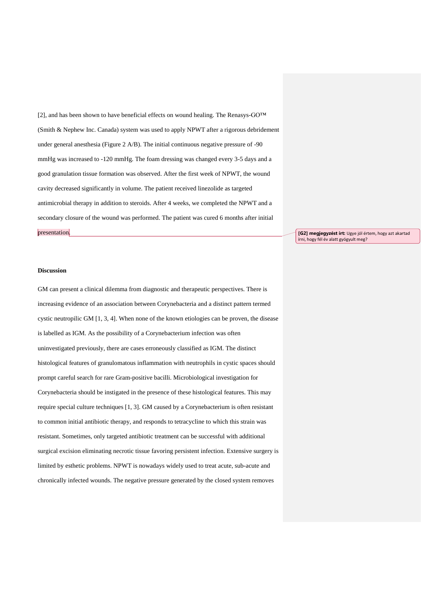[2], and has been shown to have beneficial effects on wound healing. The Renasys-GO™ (Smith & Nephew Inc. Canada) system was used to apply NPWT after a rigorous debridement under general anesthesia (Figure 2 A/B). The initial continuous negative pressure of -90 mmHg was increased to -120 mmHg. The foam dressing was changed every 3-5 days and a good granulation tissue formation was observed. After the first week of NPWT, the wound cavity decreased significantly in volume. The patient received linezolide as targeted antimicrobial therapy in addition to steroids. After 4 weeks, we completed the NPWT and a secondary closure of the wound was performed. The patient was cured 6 months after initial presentation.

**[G2] megjegyzést írt:** Ugye jól értem, hogy azt akartad írni, hogy fél év alatt gyógyult meg?

#### **Discussion**

GM can present a clinical dilemma from diagnostic and therapeutic perspectives. There is increasing evidence of an association between Corynebacteria and a distinct pattern termed cystic neutropilic GM [1, 3, 4]. When none of the known etiologies can be proven, the disease is labelled as IGM. As the possibility of a Corynebacterium infection was often uninvestigated previously, there are cases erroneously classified as IGM. The distinct histological features of granulomatous inflammation with neutrophils in cystic spaces should prompt careful search for rare Gram-positive bacilli. Microbiological investigation for Corynebacteria should be instigated in the presence of these histological features. This may require special culture techniques [1, 3]. GM caused by a Corynebacterium is often resistant to common initial antibiotic therapy, and responds to tetracycline to which this strain was resistant. Sometimes, only targeted antibiotic treatment can be successful with additional surgical excision eliminating necrotic tissue favoring persistent infection. Extensive surgery is limited by esthetic problems. NPWT is nowadays widely used to treat acute, sub-acute and chronically infected wounds. The negative pressure generated by the closed system removes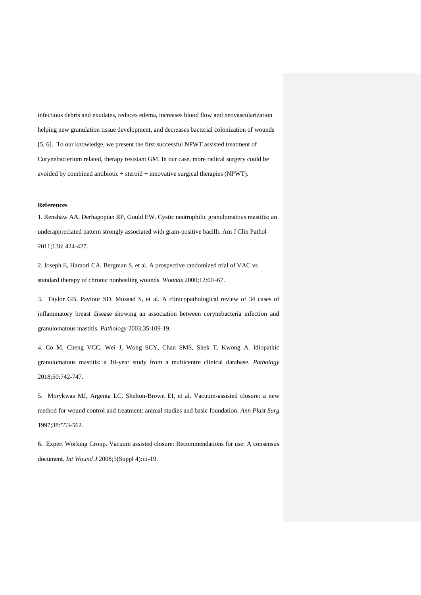infectious debris and exudates, reduces edema, increases blood flow and neovascularization helping new granulation tissue development, and decreases bacterial colonization of wounds [5, 6]. To our knowledge, we present the first successful NPWT assisted treatment of Corynebacterium related, therapy resistant GM. In our case, more radical surgery could be avoided by combined antibiotic + steroid + innovative surgical therapies (NPWT).

### **References**

1. Renshaw AA, Derhagopian RP, [Gould EW.](https://www.ncbi.nlm.nih.gov/pubmed/?term=Gould%20EW%5BAuthor%5D&cauthor=true&cauthor_uid=21846918) Cystic neutrophilic granulomatous mastitis: an underappreciated pattern strongly associated with gram-positive bacilli. Am J Clin Pathol 2011;136: 424-427.

2. Joseph E, Hamori CA, Bergman S, et al. A prospective randomized trial of VAC vs standard therapy of chronic nonhealing wounds. *Wounds* 2000;12:60–67.

3. [Taylor GB,](https://www.ncbi.nlm.nih.gov/pubmed/?term=Taylor%20GB%5BAuthor%5D&cauthor=true&cauthor_uid=12745457) [Paviour SD,](https://www.ncbi.nlm.nih.gov/pubmed/?term=Paviour%20SD%5BAuthor%5D&cauthor=true&cauthor_uid=12745457) [Musaad S,](https://www.ncbi.nlm.nih.gov/pubmed/?term=Musaad%20S%5BAuthor%5D&cauthor=true&cauthor_uid=12745457) et al. A clinicopathological review of 34 cases of inflammatory breast disease showing an association between corynebacteria infection and granulomatous mastitis. *Pathology* 2003;35:109-19.

4. Co M, Cheng VCC, Wei J, Wong SCY, Chan SMS, Shek T, Kwong A. Idiopathic granulomatous mastitis: a 10-year study from a multicentre clinical database. *Pathology* 2018;50:742-747.

5. Morykwas MJ, Argenta LC, Shelton-Brown EI, et al. Vacuum-assisted closure: a new method for wound control and treatment: animal studies and basic foundation. *Ann Plast Surg* 1997;38:553-562.

6. Expert Working Group. Vacuum assisted closure: Recommendations for use: A consensus document. *Int Wound J* 2008;5(Suppl 4):iii-19.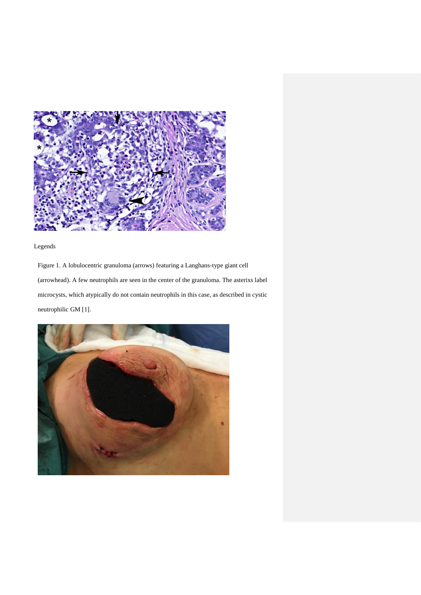

Legends

Figure 1. A lobulocentric granuloma (arrows) featuring a Langhans-type giant cell (arrowhead). A few neutrophils are seen in the center of the granuloma. The asterixs label microcysts, which atypically do not contain neutrophils in this case, as described in cystic neutrophilic GM [1].